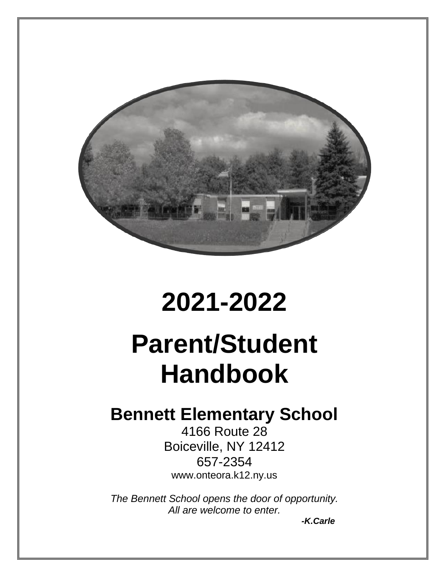

 $\overline{a}$ 

# **2021-2022**

# **Parent/Student Handbook**

# **Bennett Elementary School**

4166 Route 28 Boiceville, NY 12412 657-2354 www.onteora.k12.ny.us

*The Bennett School opens the door of opportunity. All are welcome to enter.*

*-K.Carle*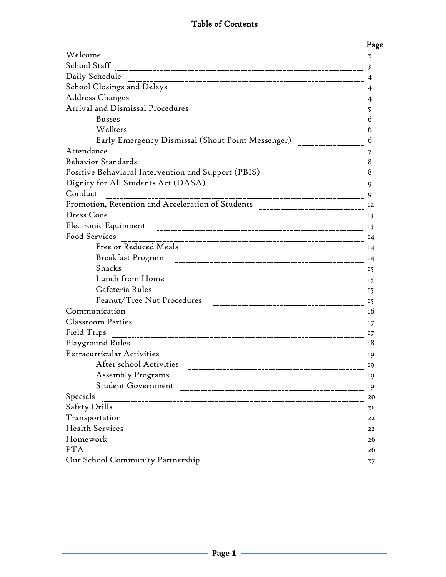# Table of Contents

|                                                                                  | Page           |
|----------------------------------------------------------------------------------|----------------|
| Welcome                                                                          | 2              |
| School Staff                                                                     | 3              |
| Daily Schedule                                                                   |                |
|                                                                                  | 4              |
| Address Changes                                                                  | 4              |
| Arrival and Dismissal Procedures                                                 | 5              |
| <b>Busses</b>                                                                    | 6              |
| Walkers                                                                          | 6              |
| Early Emergency Dismissal (Shout Point Messenger)                                | 6              |
| Attendance                                                                       | 7              |
| <b>Behavior Standards</b>                                                        | 8              |
| Positive Behavioral Intervention and Support (PBIS)                              | 8              |
|                                                                                  | 9              |
| Conduct                                                                          | 9              |
| Promotion, Retention and Acceleration of Students ______________________________ | 12             |
| Dress Code                                                                       | 13             |
| Electronic Equipment                                                             | 13             |
| Food Services                                                                    | $I_4$          |
| Free or Reduced Meals                                                            | 14             |
| Breakfast Program                                                                | $\frac{14}{1}$ |
| Snacks                                                                           | 15             |
| Lunch from Home                                                                  | 15             |
| Cafeteria Rules                                                                  | 15             |
| Peanut/Tree Nut Procedures                                                       | 15             |
| Communication                                                                    | 16             |
| Classroom Parties                                                                | 17             |
| Field Trips                                                                      | 17             |
| Playground Rules                                                                 | 18             |
| <b>Extracurricular Activities</b>                                                | 19             |
| After school Activities                                                          | 19             |
| Assembly Programs                                                                | 19             |
| Student Government                                                               | 19             |
| Specials                                                                         | 20             |
| Safety Drills                                                                    | 2I             |
|                                                                                  | 22             |
|                                                                                  | 22             |
| Homework                                                                         | 26             |
| <b>PTA</b>                                                                       | 26             |
| Our School Community Partnership                                                 | 27             |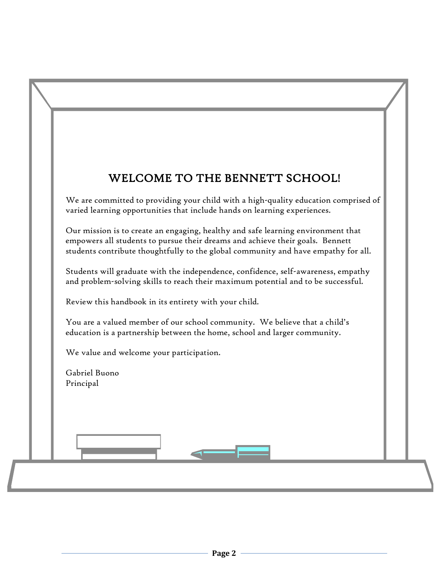# WELCOME TO THE BENNETT SCHOOL!

We are committed to providing your child with a high-quality education comprised of varied learning opportunities that include hands on learning experiences.

Our mission is to create an engaging, healthy and safe learning environment that empowers all students to pursue their dreams and achieve their goals. Bennett students contribute thoughtfully to the global community and have empathy for all.

Students will graduate with the independence, confidence, self-awareness, empathy and problem-solving skills to reach their maximum potential and to be successful.

Review this handbook in its entirety with your child.

You are a valued member of our school community. We believe that a child's education is a partnership between the home, school and larger community.

We value and welcome your participation.

Gabriel Buono Principal

I

֦ Ī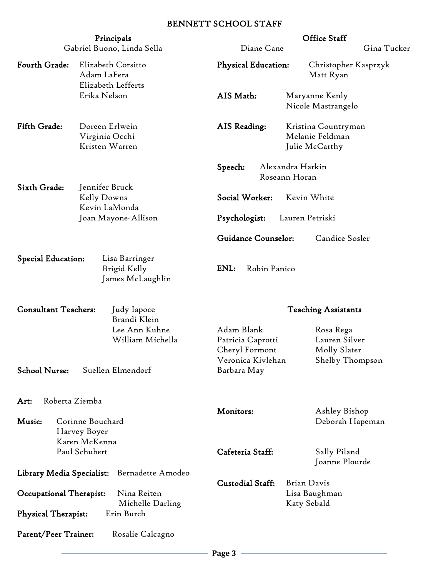#### BENNETT SCHOOL STAFF

|                                                            | Principals                                              |                                                   | Office Staff                                             |
|------------------------------------------------------------|---------------------------------------------------------|---------------------------------------------------|----------------------------------------------------------|
|                                                            | Gabriel Buono, Linda Sella                              | Diane Cane                                        | Gina Tucker                                              |
| Fourth Grade:                                              | Elizabeth Corsitto<br>Adam LaFera<br>Elizabeth Lefferts | <b>Physical Education:</b>                        | Christopher Kasprzyk<br>Matt Ryan                        |
|                                                            | Erika Nelson                                            | AIS Math:                                         | Maryanne Kenly<br>Nicole Mastrangelo                     |
| Fifth Grade:                                               | Doreen Erlwein<br>Virginia Occhi<br>Kristen Warren      | AIS Reading:                                      | Kristina Countryman<br>Melanie Feldman<br>Julie McCarthy |
|                                                            |                                                         | Speech:                                           | Alexandra Harkin<br>Roseann Horan                        |
| Sixth Grade:                                               | Jennifer Bruck<br>Kelly Downs<br>Kevin LaMonda          | Social Worker:                                    | Kevin White                                              |
|                                                            | Joan Mayone-Allison                                     | Psychologist:                                     | Lauren Petriski                                          |
|                                                            |                                                         | Guidance Counselor:                               | Candice Sosler                                           |
| <b>Special Education:</b>                                  | Lisa Barringer<br>Brigid Kelly<br>James McLaughlin      | ENL:<br>Robin Panico                              |                                                          |
| <b>Consultant Teachers:</b><br>Judy Iapoce<br>Brandi Klein |                                                         |                                                   | <b>Teaching Assistants</b>                               |
|                                                            | Lee Ann Kuhne<br>William Michella                       | Adam Blank<br>Patricia Caprotti<br>Cheryl Formont | Rosa Rega<br>Lauren Silver<br>Molly Slater               |
| <b>School Nurse:</b>                                       | Suellen Elmendorf                                       | Veronica Kivlehan<br>Barbara May                  | Shelby Thompson                                          |
| Roberta Ziemba<br>Art:                                     |                                                         | Monitors:                                         | Ashley Bishop                                            |
| Music:                                                     | Corinne Bouchard<br>Harvey Boyer                        |                                                   | Deborah Hapeman                                          |
|                                                            | Karen McKenna<br>Paul Schubert                          | Cafeteria Staff:                                  | Sally Piland<br>Joanne Plourde                           |
| Library Media Specialist:                                  | Bernadette Amodeo                                       | <b>Custodial Staff:</b>                           | <b>Brian Davis</b>                                       |
| Occupational Therapist:                                    | Nina Reiten<br>Michelle Darling                         |                                                   | Lisa Baughman<br>Katy Sebald                             |
| <b>Physical Therapist:</b>                                 | Erin Burch                                              |                                                   |                                                          |
| Parent/Peer Trainer:                                       | Rosalie Calcagno                                        |                                                   |                                                          |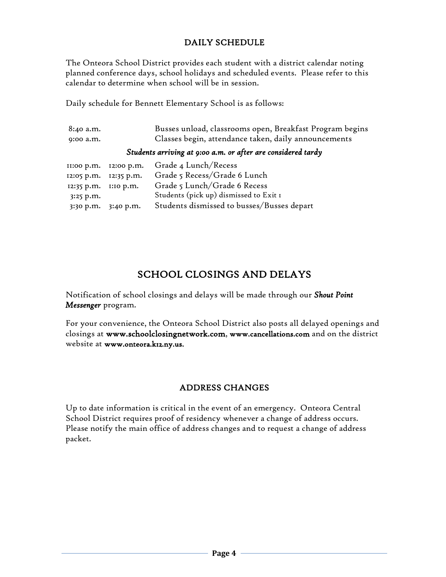#### DAILY SCHEDULE

The Onteora School District provides each student with a district calendar noting planned conference days, school holidays and scheduled events. Please refer to this calendar to determine when school will be in session.

Daily schedule for Bennett Elementary School is as follows:

| 8:40 a.m.                                                    |                     | Busses unload, classrooms open, Breakfast Program begins |
|--------------------------------------------------------------|---------------------|----------------------------------------------------------|
| 9:00 a.m.                                                    |                     | Classes begin, attendance taken, daily announcements     |
| Students arriving at 9:00 a.m. or after are considered tardy |                     |                                                          |
| II:00 p.m.                                                   | 12:00 p.m.          | Grade 4 Lunch/Recess                                     |
| 12:05 p.m.                                                   | 12:35 p.m.          | Grade 5 Recess/Grade 6 Lunch                             |
| 12:35 p.m.                                                   | $1:10$ p.m.         | Grade 5 Lunch/Grade 6 Recess                             |
| 3:25 p.m.                                                    |                     | Students (pick up) dismissed to Exit I                   |
|                                                              | 3:30 p.m. 3:40 p.m. | Students dismissed to busses/Busses depart               |

# SCHOOL CLOSINGS AND DELAYS

Notification of school closings and delays will be made through our *Shout Point Messenger* program.

For your convenience, the Onteora School District also posts all delayed openings and closings at www.schoolclosingnetwork.com, www.cancellations.com and on the district website at www.onteora.k12.ny.us.

# ADDRESS CHANGES

Up to date information is critical in the event of an emergency. Onteora Central School District requires proof of residency whenever a change of address occurs. Please notify the main office of address changes and to request a change of address packet.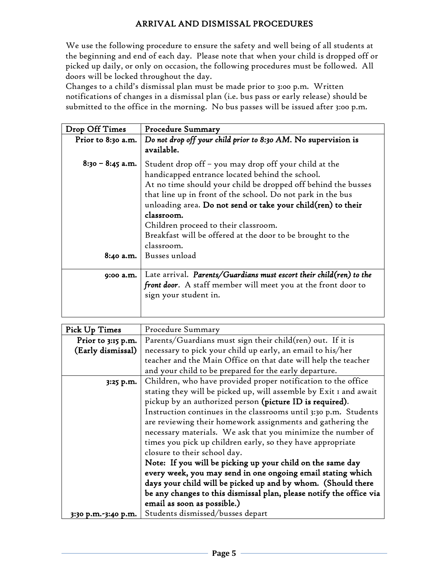#### ARRIVAL AND DISMISSAL PROCEDURES

We use the following procedure to ensure the safety and well being of all students at the beginning and end of each day. Please note that when your child is dropped off or picked up daily, or only on occasion, the following procedures must be followed. All doors will be locked throughout the day.

Changes to a child's dismissal plan must be made prior to 3:00 p.m. Written notifications of changes in a dismissal plan (i.e. bus pass or early release) should be submitted to the office in the morning. No bus passes will be issued after 3:00 p.m.

| Drop Off Times     | <b>Procedure Summary</b>                                                                                                                                                                                                                                                                                                                                                                                                                   |
|--------------------|--------------------------------------------------------------------------------------------------------------------------------------------------------------------------------------------------------------------------------------------------------------------------------------------------------------------------------------------------------------------------------------------------------------------------------------------|
| Prior to 8:30 a.m. | Do not drop off your child prior to 8:30 AM. No supervision is<br>available.                                                                                                                                                                                                                                                                                                                                                               |
| $8:30 - 8:45$ a.m. | Student drop off - you may drop off your child at the<br>handicapped entrance located behind the school.<br>At no time should your child be dropped off behind the busses<br>that line up in front of the school. Do not park in the bus<br>unloading area. Do not send or take your child(ren) to their<br>classroom.<br>Children proceed to their classroom.<br>Breakfast will be offered at the door to be brought to the<br>classroom. |
| 8:40 a.m.          | Busses unload                                                                                                                                                                                                                                                                                                                                                                                                                              |
| 9:00 a.m.          | Late arrival. Parents/Guardians must escort their child $(ren)$ to the<br>front door. A staff member will meet you at the front door to<br>sign your student in.                                                                                                                                                                                                                                                                           |

| Pick Up Times       | Procedure Summary                                                   |  |
|---------------------|---------------------------------------------------------------------|--|
| Prior to 3:15 p.m.  | Parents/Guardians must sign their child(ren) out. If it is          |  |
| (Early dismissal)   | necessary to pick your child up early, an email to his/her          |  |
|                     | teacher and the Main Office on that date will help the teacher      |  |
|                     | and your child to be prepared for the early departure.              |  |
| 3:25 p.m.           | Children, who have provided proper notification to the office       |  |
|                     | stating they will be picked up, will assemble by Exit I and await   |  |
|                     | pickup by an authorized person (picture ID is required).            |  |
|                     | Instruction continues in the classrooms until 3:30 p.m. Students    |  |
|                     | are reviewing their homework assignments and gathering the          |  |
|                     | necessary materials. We ask that you minimize the number of         |  |
|                     | times you pick up children early, so they have appropriate          |  |
|                     | closure to their school day.                                        |  |
|                     | Note: If you will be picking up your child on the same day          |  |
|                     | every week, you may send in one ongoing email stating which         |  |
|                     | days your child will be picked up and by whom. (Should there        |  |
|                     | be any changes to this dismissal plan, please notify the office via |  |
|                     | email as soon as possible.)                                         |  |
| 3:30 p.m.-3:40 p.m. | Students dismissed/busses depart                                    |  |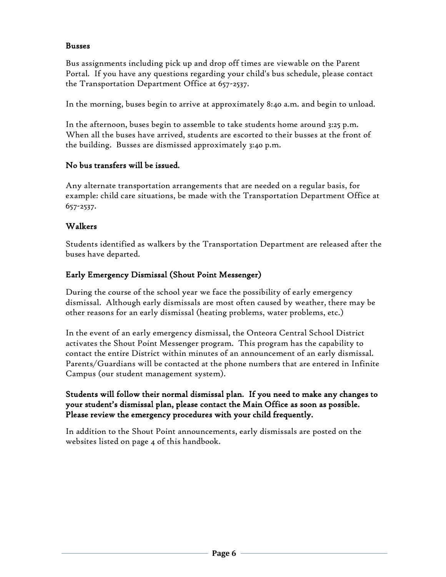#### Busses

Bus assignments including pick up and drop off times are viewable on the Parent Portal. If you have any questions regarding your child's bus schedule, please contact the Transportation Department Office at 657-2537.

In the morning, buses begin to arrive at approximately 8:40 a.m. and begin to unload.

In the afternoon, buses begin to assemble to take students home around 3:25 p.m. When all the buses have arrived, students are escorted to their busses at the front of the building. Busses are dismissed approximately 3:40 p.m.

#### No bus transfers will be issued.

Any alternate transportation arrangements that are needed on a regular basis, for example: child care situations, be made with the Transportation Department Office at 657-2537.

#### Walkers

Students identified as walkers by the Transportation Department are released after the buses have departed.

#### Early Emergency Dismissal (Shout Point Messenger)

During the course of the school year we face the possibility of early emergency dismissal. Although early dismissals are most often caused by weather, there may be other reasons for an early dismissal (heating problems, water problems, etc.)

In the event of an early emergency dismissal, the Onteora Central School District activates the Shout Point Messenger program. This program has the capability to contact the entire District within minutes of an announcement of an early dismissal. Parents/Guardians will be contacted at the phone numbers that are entered in Infinite Campus (our student management system).

#### Students will follow their normal dismissal plan. If you need to make any changes to your student's dismissal plan, please contact the Main Office as soon as possible. Please review the emergency procedures with your child frequently.

In addition to the Shout Point announcements, early dismissals are posted on the websites listed on page 4 of this handbook.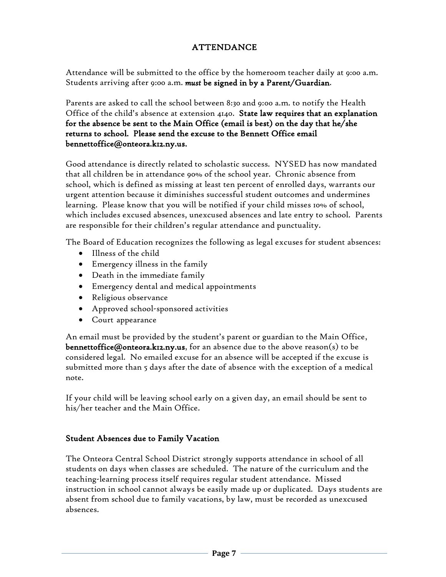#### ATTENDANCE

Attendance will be submitted to the office by the homeroom teacher daily at 9:00 a.m. Students arriving after 9:00 a.m. *must* be signed in by a Parent/Guardian.

Parents are asked to call the school between 8:30 and 9:00 a.m. to notify the Health Office of the child's absence at extension 4140. State law requires that an explanation for the absence be sent to the Main Office (email is best) on the day that he/she returns to school. Please send the excuse to the Bennett Office email bennettoffice@onteora.k12.ny.us.

Good attendance is directly related to scholastic success. NYSED has now mandated that all children be in attendance 90% of the school year. Chronic absence from school, which is defined as missing at least ten percent of enrolled days, warrants our urgent attention because it diminishes successful student outcomes and undermines learning. Please know that you will be notified if your child misses 10% of school, which includes excused absences, unexcused absences and late entry to school. Parents are responsible for their children's regular attendance and punctuality.

The Board of Education recognizes the following as legal excuses for student absences:

- Illness of the child
- Emergency illness in the family
- Death in the immediate family
- Emergency dental and medical appointments
- Religious observance
- Approved school-sponsored activities
- Court appearance

An email must be provided by the student's parent or guardian to the Main Office, bennettoffice@onteora.k12.ny.us, for an absence due to the above reason(s) to be considered legal. No emailed excuse for an absence will be accepted if the excuse is submitted more than 5 days after the date of absence with the exception of a medical note.

If your child will be leaving school early on a given day, an email should be sent to his/her teacher and the Main Office.

#### Student Absences due to Family Vacation

The Onteora Central School District strongly supports attendance in school of all students on days when classes are scheduled. The nature of the curriculum and the teaching-learning process itself requires regular student attendance. Missed instruction in school cannot always be easily made up or duplicated. Days students are absent from school due to family vacations, by law, must be recorded as unexcused absences.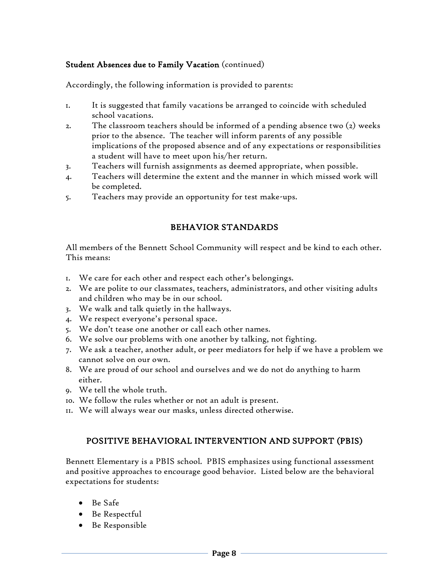#### Student Absences due to Family Vacation (continued)

Accordingly, the following information is provided to parents:

- 1. It is suggested that family vacations be arranged to coincide with scheduled school vacations.
- 2. The classroom teachers should be informed of a pending absence two (2) weeks prior to the absence. The teacher will inform parents of any possible implications of the proposed absence and of any expectations or responsibilities a student will have to meet upon his/her return.
- 3. Teachers will furnish assignments as deemed appropriate, when possible.
- 4. Teachers will determine the extent and the manner in which missed work will be completed.
- 5. Teachers may provide an opportunity for test make-ups.

#### BEHAVIOR STANDARDS

All members of the Bennett School Community will respect and be kind to each other. This means:

- 1. We care for each other and respect each other's belongings.
- 2. We are polite to our classmates, teachers, administrators, and other visiting adults and children who may be in our school.
- 3. We walk and talk quietly in the hallways.
- 4. We respect everyone's personal space.
- 5. We don't tease one another or call each other names.
- 6. We solve our problems with one another by talking, not fighting.
- 7. We ask a teacher, another adult, or peer mediators for help if we have a problem we cannot solve on our own.
- 8. We are proud of our school and ourselves and we do not do anything to harm either.
- 9. We tell the whole truth.
- 10. We follow the rules whether or not an adult is present.
- 11. We will always wear our masks, unless directed otherwise.

#### POSITIVE BEHAVIORAL INTERVENTION AND SUPPORT (PBIS)

Bennett Elementary is a PBIS school. PBIS emphasizes using functional assessment and positive approaches to encourage good behavior. Listed below are the behavioral expectations for students:

- Be Safe
- Be Respectful
- Be Responsible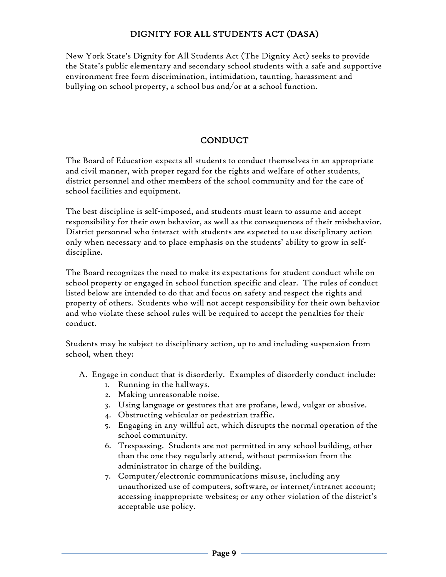#### DIGNITY FOR ALL STUDENTS ACT (DASA)

New York State's Dignity for All Students Act (The Dignity Act) seeks to provide the State's public elementary and secondary school students with a safe and supportive environment free form discrimination, intimidation, taunting, harassment and bullying on school property, a school bus and/or at a school function.

#### **CONDUCT**

The Board of Education expects all students to conduct themselves in an appropriate and civil manner, with proper regard for the rights and welfare of other students, district personnel and other members of the school community and for the care of school facilities and equipment.

The best discipline is self-imposed, and students must learn to assume and accept responsibility for their own behavior, as well as the consequences of their misbehavior. District personnel who interact with students are expected to use disciplinary action only when necessary and to place emphasis on the students' ability to grow in selfdiscipline.

The Board recognizes the need to make its expectations for student conduct while on school property or engaged in school function specific and clear. The rules of conduct listed below are intended to do that and focus on safety and respect the rights and property of others. Students who will not accept responsibility for their own behavior and who violate these school rules will be required to accept the penalties for their conduct.

Students may be subject to disciplinary action, up to and including suspension from school, when they:

- A. Engage in conduct that is disorderly. Examples of disorderly conduct include:
	- 1. Running in the hallways.
	- 2. Making unreasonable noise.
	- 3. Using language or gestures that are profane, lewd, vulgar or abusive.
	- 4. Obstructing vehicular or pedestrian traffic.
	- 5. Engaging in any willful act, which disrupts the normal operation of the school community.
	- 6. Trespassing. Students are not permitted in any school building, other than the one they regularly attend, without permission from the administrator in charge of the building.
	- 7. Computer/electronic communications misuse, including any unauthorized use of computers, software, or internet/intranet account; accessing inappropriate websites; or any other violation of the district's acceptable use policy.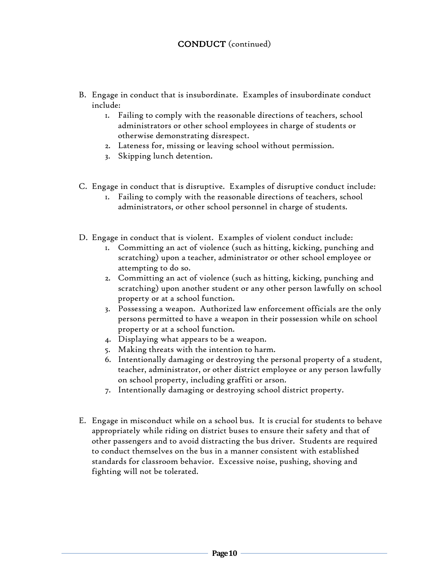- B. Engage in conduct that is insubordinate. Examples of insubordinate conduct include:
	- 1. Failing to comply with the reasonable directions of teachers, school administrators or other school employees in charge of students or otherwise demonstrating disrespect.
	- 2. Lateness for, missing or leaving school without permission.
	- 3. Skipping lunch detention.
- C. Engage in conduct that is disruptive. Examples of disruptive conduct include:
	- 1. Failing to comply with the reasonable directions of teachers, school administrators, or other school personnel in charge of students.
- D. Engage in conduct that is violent. Examples of violent conduct include:
	- 1. Committing an act of violence (such as hitting, kicking, punching and scratching) upon a teacher, administrator or other school employee or attempting to do so.
	- 2. Committing an act of violence (such as hitting, kicking, punching and scratching) upon another student or any other person lawfully on school property or at a school function.
	- 3. Possessing a weapon. Authorized law enforcement officials are the only persons permitted to have a weapon in their possession while on school property or at a school function.
	- 4. Displaying what appears to be a weapon.
	- 5. Making threats with the intention to harm.
	- 6. Intentionally damaging or destroying the personal property of a student, teacher, administrator, or other district employee or any person lawfully on school property, including graffiti or arson.
	- 7. Intentionally damaging or destroying school district property.
- E. Engage in misconduct while on a school bus. It is crucial for students to behave appropriately while riding on district buses to ensure their safety and that of other passengers and to avoid distracting the bus driver. Students are required to conduct themselves on the bus in a manner consistent with established standards for classroom behavior. Excessive noise, pushing, shoving and fighting will not be tolerated.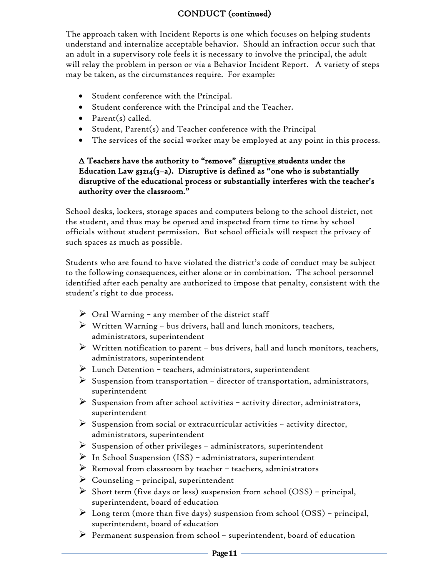#### CONDUCT (continued)

The approach taken with Incident Reports is one which focuses on helping students understand and internalize acceptable behavior. Should an infraction occur such that an adult in a supervisory role feels it is necessary to involve the principal, the adult will relay the problem in person or via a Behavior Incident Report. A variety of steps may be taken, as the circumstances require. For example:

- Student conference with the Principal.
- Student conference with the Principal and the Teacher.
- Parent(s) called.
- Student, Parent(s) and Teacher conference with the Principal
- The services of the social worker may be employed at any point in this process.

#### ∆ Teachers have the authority to "remove" disruptive students under the Education Law  $\frac{2}{3}$  (3-a). Disruptive is defined as "one who is substantially disruptive of the educational process or substantially interferes with the teacher's authority over the classroom."

School desks, lockers, storage spaces and computers belong to the school district, not the student, and thus may be opened and inspected from time to time by school officials without student permission. But school officials will respect the privacy of such spaces as much as possible.

Students who are found to have violated the district's code of conduct may be subject to the following consequences, either alone or in combination. The school personnel identified after each penalty are authorized to impose that penalty, consistent with the student's right to due process.

- $\triangleright$  Oral Warning any member of the district staff
- $\triangleright$  Written Warning bus drivers, hall and lunch monitors, teachers, administrators, superintendent
- $\triangleright$  Written notification to parent bus drivers, hall and lunch monitors, teachers, administrators, superintendent
- ➢ Lunch Detention teachers, administrators, superintendent
- $\triangleright$  Suspension from transportation director of transportation, administrators, superintendent
- $\triangleright$  Suspension from after school activities activity director, administrators, superintendent
- $\triangleright$  Suspension from social or extracurricular activities activity director, administrators, superintendent
- ➢ Suspension of other privileges administrators, superintendent
- $\triangleright$  In School Suspension (ISS) administrators, superintendent
- $\triangleright$  Removal from classroom by teacher teachers, administrators
- $\triangleright$  Counseling principal, superintendent
- $\triangleright$  Short term (five days or less) suspension from school (OSS) principal, superintendent, board of education
- $\triangleright$  Long term (more than five days) suspension from school (OSS) principal, superintendent, board of education
- $\triangleright$  Permanent suspension from school superintendent, board of education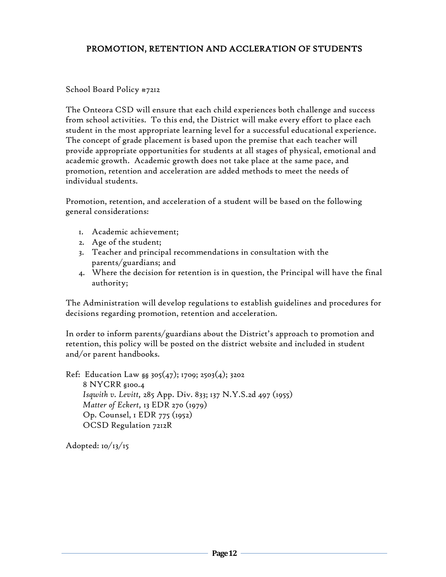#### PROMOTION, RETENTION AND ACCLERATION OF STUDENTS

#### School Board Policy #7212

The Onteora CSD will ensure that each child experiences both challenge and success from school activities. To this end, the District will make every effort to place each student in the most appropriate learning level for a successful educational experience. The concept of grade placement is based upon the premise that each teacher will provide appropriate opportunities for students at all stages of physical, emotional and academic growth. Academic growth does not take place at the same pace, and promotion, retention and acceleration are added methods to meet the needs of individual students.

Promotion, retention, and acceleration of a student will be based on the following general considerations:

- 1. Academic achievement;
- 2. Age of the student;
- 3. Teacher and principal recommendations in consultation with the parents/guardians; and
- 4. Where the decision for retention is in question, the Principal will have the final authority;

The Administration will develop regulations to establish guidelines and procedures for decisions regarding promotion, retention and acceleration.

In order to inform parents/guardians about the District's approach to promotion and retention, this policy will be posted on the district website and included in student and/or parent handbooks.

Ref: Education Law  $_{88}$  305(47); 1709; 2503(4); 3202 8 NYCRR §100.4 *Isqwith v. Levitt,* 285 App. Div. 833; 137 N.Y.S.2d 497 (1955) *Matter of Eckert,* 13 EDR 270 (1979) Op. Counsel, 1 EDR 775 (1952) OCSD Regulation 7212R

Adopted:  $10/13/15$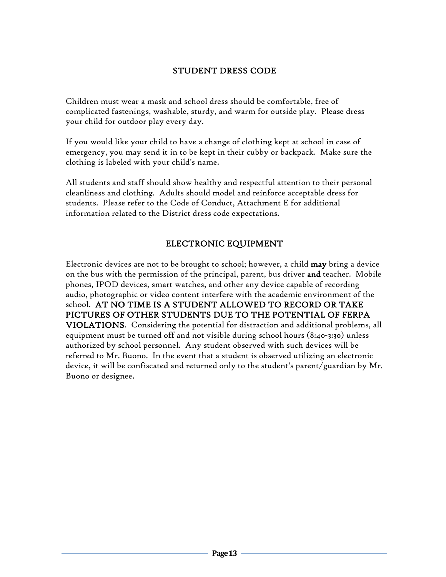#### STUDENT DRESS CODE

Children must wear a mask and school dress should be comfortable, free of complicated fastenings, washable, sturdy, and warm for outside play. Please dress your child for outdoor play every day.

If you would like your child to have a change of clothing kept at school in case of emergency, you may send it in to be kept in their cubby or backpack. Make sure the clothing is labeled with your child's name.

All students and staff should show healthy and respectful attention to their personal cleanliness and clothing. Adults should model and reinforce acceptable dress for students. Please refer to the Code of Conduct, Attachment E for additional information related to the District dress code expectations.

#### ELECTRONIC EQUIPMENT

Electronic devices are not to be brought to school; however, a child may bring a device on the bus with the permission of the principal, parent, bus driver **and** teacher. Mobile phones, IPOD devices, smart watches, and other any device capable of recording audio, photographic or video content interfere with the academic environment of the school. AT NO TIME IS A STUDENT ALLOWED TO RECORD OR TAKE PICTURES OF OTHER STUDENTS DUE TO THE POTENTIAL OF FERPA VIOLATIONS. Considering the potential for distraction and additional problems, all equipment must be turned off and not visible during school hours (8:40-3:30) unless authorized by school personnel. Any student observed with such devices will be referred to Mr. Buono. In the event that a student is observed utilizing an electronic device, it will be confiscated and returned only to the student's parent/guardian by Mr. Buono or designee.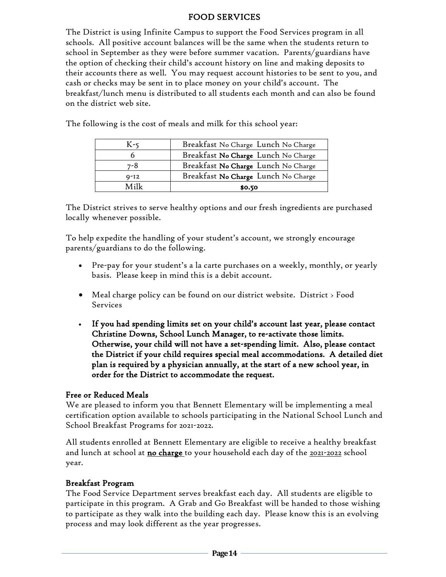#### FOOD SERVICES

The District is using Infinite Campus to support the Food Services program in all schools. All positive account balances will be the same when the students return to school in September as they were before summer vacation. Parents/guardians have the option of checking their child's account history on line and making deposits to their accounts there as well. You may request account histories to be sent to you, and cash or checks may be sent in to place money on your child's account. The breakfast/lunch menu is distributed to all students each month and can also be found on the district web site.

| $Q - I2$ | Breakfast No Charge Lunch No Charge |
|----------|-------------------------------------|
| 7-8      | Breakfast No Charge Lunch No Charge |
|          | Breakfast No Charge Lunch No Charge |
| K -<     | Breakfast No Charge Lunch No Charge |

The following is the cost of meals and milk for this school year:

The District strives to serve healthy options and our fresh ingredients are purchased locally whenever possible.

To help expedite the handling of your student's account, we strongly encourage parents/guardians to do the following.

- Pre-pay for your student's a la carte purchases on a weekly, monthly, or yearly basis. Please keep in mind this is a debit account.
- Meal charge policy can be found on our district website. District > Food Services
- If you had spending limits set on your child's account last year, please contact Christine Downs, School Lunch Manager, to re-activate those limits. Otherwise, your child will not have a set-spending limit. Also, please contact the District if your child requires special meal accommodations. A detailed diet plan is required by a physician annually, at the start of a new school year, in order for the District to accommodate the request.

#### Free or Reduced Meals

We are pleased to inform you that Bennett Elementary will be implementing a meal certification option available to schools participating in the National School Lunch and School Breakfast Programs for 2021-2022.

All students enrolled at Bennett Elementary are eligible to receive a healthy breakfast and lunch at school at no charge to your household each day of the 2021-2022 school year.

#### Breakfast Program

The Food Service Department serves breakfast each day. All students are eligible to participate in this program. A Grab and Go Breakfast will be handed to those wishing to participate as they walk into the building each day. Please know this is an evolving process and may look different as the year progresses.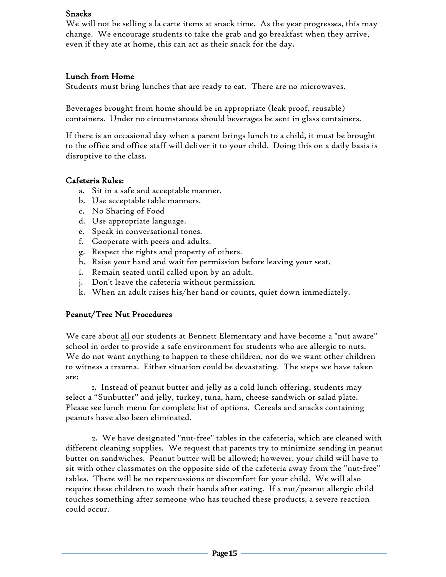#### Snacks

We will not be selling a la carte items at snack time. As the year progresses, this may change. We encourage students to take the grab and go breakfast when they arrive, even if they ate at home, this can act as their snack for the day.

#### Lunch from Home

Students must bring lunches that are ready to eat. There are no microwaves.

Beverages brought from home should be in appropriate (leak proof, reusable) containers. Under no circumstances should beverages be sent in glass containers.

If there is an occasional day when a parent brings lunch to a child, it must be brought to the office and office staff will deliver it to your child. Doing this on a daily basis is disruptive to the class.

#### Cafeteria Rules:

- a. Sit in a safe and acceptable manner.
- b. Use acceptable table manners.
- c. No Sharing of Food
- d. Use appropriate language.
- e. Speak in conversational tones.
- f. Cooperate with peers and adults.
- g. Respect the rights and property of others.
- h. Raise your hand and wait for permission before leaving your seat.
- i. Remain seated until called upon by an adult.
- j. Don't leave the cafeteria without permission.
- k. When an adult raises his/her hand or counts, quiet down immediately.

#### Peanut/Tree Nut Procedures

We care about all our students at Bennett Elementary and have become a "nut aware" school in order to provide a safe environment for students who are allergic to nuts. We do not want anything to happen to these children, nor do we want other children to witness a trauma. Either situation could be devastating. The steps we have taken are:

1. Instead of peanut butter and jelly as a cold lunch offering, students may select a "Sunbutter" and jelly, turkey, tuna, ham, cheese sandwich or salad plate. Please see lunch menu for complete list of options. Cereals and snacks containing peanuts have also been eliminated.

2. We have designated "nut-free" tables in the cafeteria, which are cleaned with different cleaning supplies. We request that parents try to minimize sending in peanut butter on sandwiches. Peanut butter will be allowed; however, your child will have to sit with other classmates on the opposite side of the cafeteria away from the "nut-free" tables. There will be no repercussions or discomfort for your child. We will also require these children to wash their hands after eating. If a nut/peanut allergic child touches something after someone who has touched these products, a severe reaction could occur.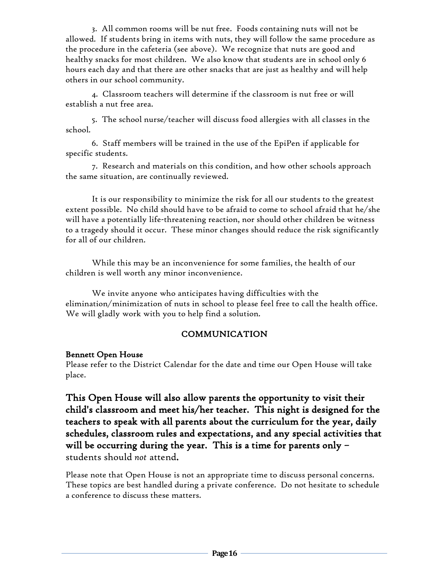3. All common rooms will be nut free. Foods containing nuts will not be allowed. If students bring in items with nuts, they will follow the same procedure as the procedure in the cafeteria (see above). We recognize that nuts are good and healthy snacks for most children. We also know that students are in school only 6 hours each day and that there are other snacks that are just as healthy and will help others in our school community.

 4. Classroom teachers will determine if the classroom is nut free or will establish a nut free area.

5. The school nurse/teacher will discuss food allergies with all classes in the school.

6. Staff members will be trained in the use of the EpiPen if applicable for specific students.

7. Research and materials on this condition, and how other schools approach the same situation, are continually reviewed.

It is our responsibility to minimize the risk for all our students to the greatest extent possible. No child should have to be afraid to come to school afraid that he/she will have a potentially life-threatening reaction, nor should other children be witness to a tragedy should it occur. These minor changes should reduce the risk significantly for all of our children.

While this may be an inconvenience for some families, the health of our children is well worth any minor inconvenience.

We invite anyone who anticipates having difficulties with the elimination/minimization of nuts in school to please feel free to call the health office. We will gladly work with you to help find a solution.

#### COMMUNICATION

#### Bennett Open House

Please refer to the District Calendar for the date and time our Open House will take place.

This Open House will also allow parents the opportunity to visit their child's classroom and meet his/her teacher. This night is designed for the teachers to speak with all parents about the curriculum for the year, daily schedules, classroom rules and expectations, and any special activities that will be occurring during the year. This is a time for parents only students should *not* attend.

Please note that Open House is not an appropriate time to discuss personal concerns. These topics are best handled during a private conference. Do not hesitate to schedule a conference to discuss these matters.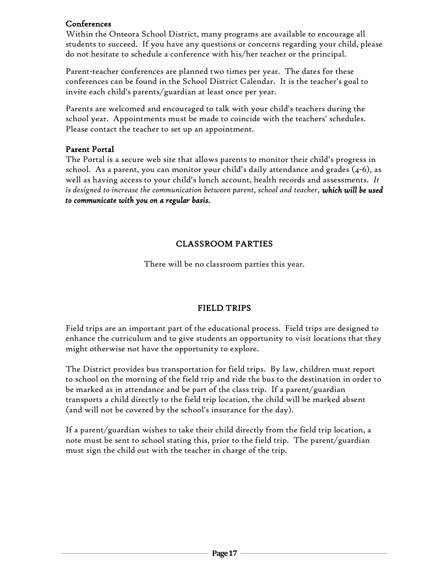#### Conferences

Within the Onteora School District, many programs are available to encourage all students to succeed. If you have any questions or concerns regarding your child, please do not hesitate to schedule a conference with his/her teacher or the principal.

Parent-teacher conferences are planned two times per year. The dates for these conferences can be found in the School District Calendar. It is the teacher's goal to invite each child's parents/guardian at least once per year.

Parents are welcomed and encouraged to talk with your child's teachers during the school year. Appointments must be made to coincide with the teachers' schedules. Please contact the teacher to set up an appointment.

#### Parent Portal

The Portal is a secure web site that allows parents to monitor their child's progress in school. As a parent, you can monitor your child's daily attendance and grades (4-6), as well as having access to your child's lunch account, health records and assessments. *It is designed to increase the communication between parent, school and teacher, which will be used to communicate with you on a regular basis.*

#### CLASSROOM PARTIES

There will be no classroom parties this year.

#### FIELD TRIPS

Field trips are an important part of the educational process. Field trips are designed to enhance the curriculum and to give students an opportunity to visit locations that they might otherwise not have the opportunity to explore.

The District provides bus transportation for field trips. By law, children must report to school on the morning of the field trip and ride the bus to the destination in order to be marked as in attendance and be part of the class trip. If a parent/guardian transports a child directly to the field trip location, the child will be marked absent (and will not be covered by the school's insurance for the day).

If a parent/guardian wishes to take their child directly from the field trip location, a note must be sent to school stating this, prior to the field trip. The parent/guardian must sign the child out with the teacher in charge of the trip.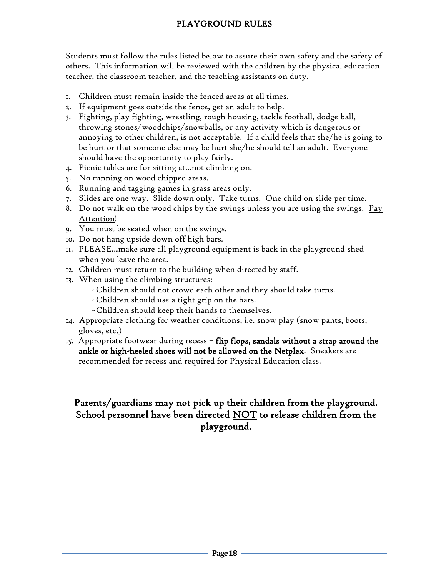# PLAYGROUND RULES

Students must follow the rules listed below to assure their own safety and the safety of others. This information will be reviewed with the children by the physical education teacher, the classroom teacher, and the teaching assistants on duty.

- 1. Children must remain inside the fenced areas at all times.
- 2. If equipment goes outside the fence, get an adult to help.
- 3. Fighting, play fighting, wrestling, rough housing, tackle football, dodge ball, throwing stones/woodchips/snowballs, or any activity which is dangerous or annoying to other children, is not acceptable. If a child feels that she/he is going to be hurt or that someone else may be hurt she/he should tell an adult. Everyone should have the opportunity to play fairly.
- 4. Picnic tables are for sitting at…not climbing on.
- 5. No running on wood chipped areas.
- 6. Running and tagging games in grass areas only.
- 7. Slides are one way. Slide down only. Take turns. One child on slide per time.
- 8. Do not walk on the wood chips by the swings unless you are using the swings. Pay Attention!
- 9. You must be seated when on the swings.
- 10. Do not hang upside down off high bars.
- 11. PLEASE…make sure all playground equipment is back in the playground shed when you leave the area.
- 12. Children must return to the building when directed by staff.
- 13. When using the climbing structures:
	- ~Children should not crowd each other and they should take turns.
	- ~Children should use a tight grip on the bars.
	- ~Children should keep their hands to themselves.
- 14. Appropriate clothing for weather conditions, i.e. snow play (snow pants, boots, gloves, etc.)
- 15. Appropriate footwear during recess flip flops, sandals without a strap around the ankle or high-heeled shoes will not be allowed on the Netplex. Sneakers are recommended for recess and required for Physical Education class.

# Parents/guardians may not pick up their children from the playground. School personnel have been directed NOT to release children from the playground.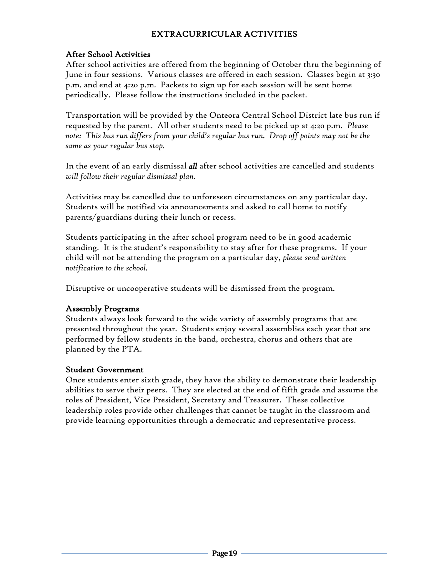#### EXTRACURRICULAR ACTIVITIES

#### After School Activities

After school activities are offered from the beginning of October thru the beginning of June in four sessions. Various classes are offered in each session. Classes begin at 3:30 p.m. and end at 4:20 p.m. Packets to sign up for each session will be sent home periodically. Please follow the instructions included in the packet.

Transportation will be provided by the Onteora Central School District late bus run if requested by the parent. All other students need to be picked up at 4:20 p.m. *Please note: This bus run differs from your child's regular bus run. Drop off points may not be the same as your regular bus stop.*

In the event of an early dismissal *all* after school activities are cancelled and students *will follow their regular dismissal plan*.

Activities may be cancelled due to unforeseen circumstances on any particular day. Students will be notified via announcements and asked to call home to notify parents/guardians during their lunch or recess.

Students participating in the after school program need to be in good academic standing. It is the student's responsibility to stay after for these programs. If your child will not be attending the program on a particular day, *please send written notification to the school.*

Disruptive or uncooperative students will be dismissed from the program.

#### Assembly Programs

Students always look forward to the wide variety of assembly programs that are presented throughout the year. Students enjoy several assemblies each year that are performed by fellow students in the band, orchestra, chorus and others that are planned by the PTA.

#### Student Government

Once students enter sixth grade, they have the ability to demonstrate their leadership abilities to serve their peers. They are elected at the end of fifth grade and assume the roles of President, Vice President, Secretary and Treasurer. These collective leadership roles provide other challenges that cannot be taught in the classroom and provide learning opportunities through a democratic and representative process.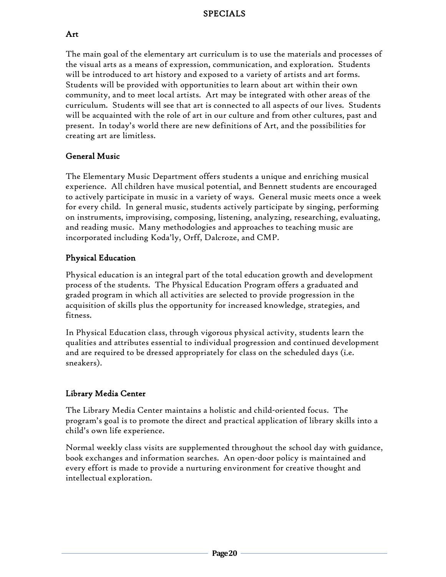#### SPECIALS

#### Art

The main goal of the elementary art curriculum is to use the materials and processes of the visual arts as a means of expression, communication, and exploration. Students will be introduced to art history and exposed to a variety of artists and art forms. Students will be provided with opportunities to learn about art within their own community, and to meet local artists. Art may be integrated with other areas of the curriculum. Students will see that art is connected to all aspects of our lives. Students will be acquainted with the role of art in our culture and from other cultures, past and present. In today's world there are new definitions of Art, and the possibilities for creating art are limitless.

# General Music

The Elementary Music Department offers students a unique and enriching musical experience. All children have musical potential, and Bennett students are encouraged to actively participate in music in a variety of ways. General music meets once a week for every child. In general music, students actively participate by singing, performing on instruments, improvising, composing, listening, analyzing, researching, evaluating, and reading music. Many methodologies and approaches to teaching music are incorporated including Koda'ly, Orff, Dalcroze, and CMP.

#### Physical Education

Physical education is an integral part of the total education growth and development process of the students. The Physical Education Program offers a graduated and graded program in which all activities are selected to provide progression in the acquisition of skills plus the opportunity for increased knowledge, strategies, and fitness.

In Physical Education class, through vigorous physical activity, students learn the qualities and attributes essential to individual progression and continued development and are required to be dressed appropriately for class on the scheduled days (i.e. sneakers).

# Library Media Center

The Library Media Center maintains a holistic and child-oriented focus. The program's goal is to promote the direct and practical application of library skills into a child's own life experience.

Normal weekly class visits are supplemented throughout the school day with guidance, book exchanges and information searches. An open-door policy is maintained and every effort is made to provide a nurturing environment for creative thought and intellectual exploration.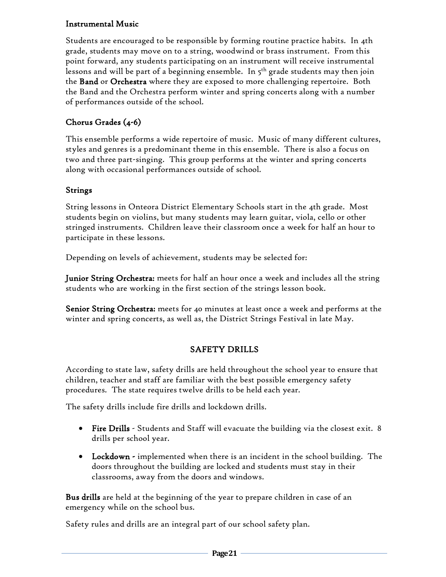#### Instrumental Music

Students are encouraged to be responsible by forming routine practice habits. In 4th grade, students may move on to a string, woodwind or brass instrument. From this point forward, any students participating on an instrument will receive instrumental lessons and will be part of a beginning ensemble. In 5<sup>th</sup> grade students may then join ( the **Band** or Orchestra where they are exposed to more challenging repertoire. Both the Band and the Orchestra perform winter and spring concerts along with a number of performances outside of the school.

# Chorus Grades (4-6)

This ensemble performs a wide repertoire of music. Music of many different cultures, styles and genres is a predominant theme in this ensemble. There is also a focus on two and three part-singing. This group performs at the winter and spring concerts along with occasional performances outside of school.

#### Strings

String lessons in Onteora District Elementary Schools start in the 4th grade. Most students begin on violins, but many students may learn guitar, viola, cello or other stringed instruments. Children leave their classroom once a week for half an hour to participate in these lessons.

Depending on levels of achievement, students may be selected for:

Junior String Orchestra: meets for half an hour once a week and includes all the string students who are working in the first section of the strings lesson book.

Senior String Orchestra: meets for 40 minutes at least once a week and performs at the winter and spring concerts, as well as, the District Strings Festival in late May.

# SAFETY DRILLS

According to state law, safety drills are held throughout the school year to ensure that children, teacher and staff are familiar with the best possible emergency safety procedures. The state requires twelve drills to be held each year.

The safety drills include fire drills and lockdown drills.

- Fire Drills Students and Staff will evacuate the building via the closest exit. 8 drills per school year.
- Lockdown implemented when there is an incident in the school building. The doors throughout the building are locked and students must stay in their classrooms, away from the doors and windows.

Bus drills are held at the beginning of the year to prepare children in case of an emergency while on the school bus.

Safety rules and drills are an integral part of our school safety plan.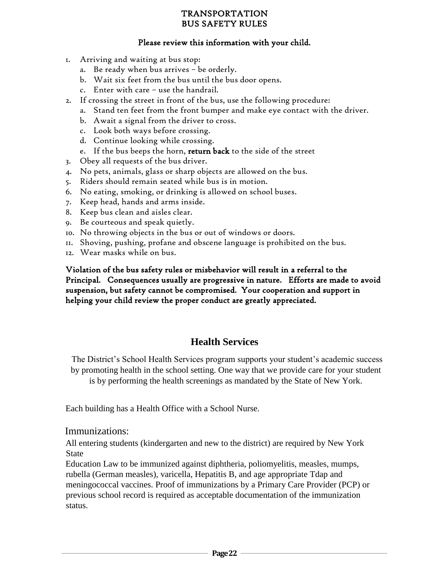#### TRANSPORTATION BUS SAFETY RULES

#### Please review this information with your child.

- 1. Arriving and waiting at bus stop:
	- a. Be ready when bus arrives be orderly.
	- b. Wait six feet from the bus until the bus door opens.
	- c. Enter with care use the handrail.
- 2. If crossing the street in front of the bus, use the following procedure:
	- a. Stand ten feet from the front bumper and make eye contact with the driver.
	- b. Await a signal from the driver to cross.
	- c. Look both ways before crossing.
	- d. Continue looking while crossing.
	- e. If the bus beeps the horn, return back to the side of the street
- 3. Obey all requests of the bus driver.
- 4. No pets, animals, glass or sharp objects are allowed on the bus.
- 5. Riders should remain seated while bus is in motion.
- 6. No eating, smoking, or drinking is allowed on school buses.
- 7. Keep head, hands and arms inside.
- 8. Keep bus clean and aisles clear.
- 9. Be courteous and speak quietly.
- 10. No throwing objects in the bus or out of windows or doors.
- 11. Shoving, pushing, profane and obscene language is prohibited on the bus.
- 12. Wear masks while on bus.

Violation of the bus safety rules or misbehavior will result in a referral to the Principal. Consequences usually are progressive in nature. Efforts are made to avoid suspension, but safety cannot be compromised. Your cooperation and support in helping your child review the proper conduct are greatly appreciated.

# **Health Services**

The District's School Health Services program supports your student's academic success by promoting health in the school setting. One way that we provide care for your student is by performing the health screenings as mandated by the State of New York.

Each building has a Health Office with a School Nurse.

#### Immunizations:

All entering students (kindergarten and new to the district) are required by New York State

Education Law to be immunized against diphtheria, poliomyelitis, measles, mumps, rubella (German measles), varicella, Hepatitis B, and age appropriate Tdap and meningococcal vaccines. Proof of immunizations by a Primary Care Provider (PCP) or previous school record is required as acceptable documentation of the immunization status.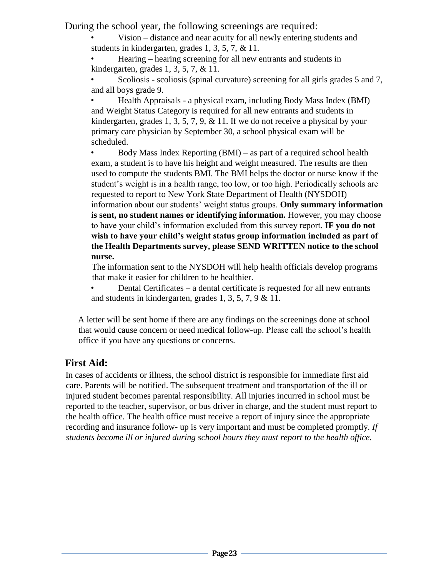During the school year, the following screenings are required:

• Vision – distance and near acuity for all newly entering students and students in kindergarten, grades 1, 3, 5, 7, & 11.

• Hearing – hearing screening for all new entrants and students in kindergarten, grades 1, 3, 5, 7, & 11.

• Scoliosis - scoliosis (spinal curvature) screening for all girls grades 5 and 7, and all boys grade 9.

• Health Appraisals - a physical exam, including Body Mass Index (BMI) and Weight Status Category is required for all new entrants and students in kindergarten, grades 1, 3, 5, 7, 9, & 11. If we do not receive a physical by your primary care physician by September 30, a school physical exam will be scheduled.

• Body Mass Index Reporting (BMI) – as part of a required school health exam, a student is to have his height and weight measured. The results are then used to compute the students BMI. The BMI helps the doctor or nurse know if the student's weight is in a health range, too low, or too high. Periodically schools are requested to report to New York State Department of Health (NYSDOH) information about our students' weight status groups. **Only summary information is sent, no student names or identifying information.** However, you may choose to have your child's information excluded from this survey report. **IF you do not wish to have your child's weight status group information included as part of the Health Departments survey, please SEND WRITTEN notice to the school nurse.** 

The information sent to the NYSDOH will help health officials develop programs that make it easier for children to be healthier.

• Dental Certificates – a dental certificate is requested for all new entrants and students in kindergarten, grades 1, 3, 5, 7, 9 & 11.

A letter will be sent home if there are any findings on the screenings done at school that would cause concern or need medical follow-up. Please call the school's health office if you have any questions or concerns.

# **First Aid:**

In cases of accidents or illness, the school district is responsible for immediate first aid care. Parents will be notified. The subsequent treatment and transportation of the ill or injured student becomes parental responsibility. All injuries incurred in school must be reported to the teacher, supervisor, or bus driver in charge, and the student must report to the health office. The health office must receive a report of injury since the appropriate recording and insurance follow- up is very important and must be completed promptly. *If students become ill or injured during school hours they must report to the health office.*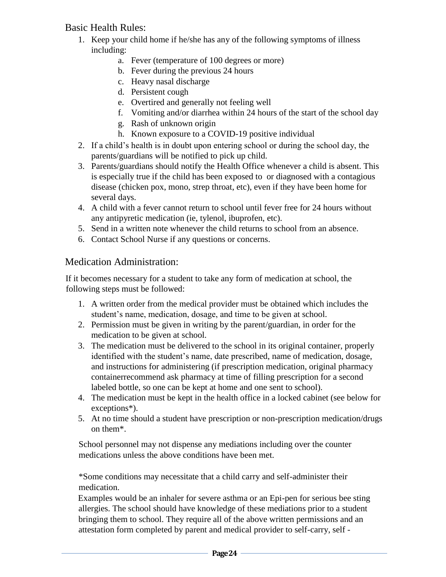# Basic Health Rules:

- 1. Keep your child home if he/she has any of the following symptoms of illness including:
	- a. Fever (temperature of 100 degrees or more)
	- b. Fever during the previous 24 hours
	- c. Heavy nasal discharge
	- d. Persistent cough
	- e. Overtired and generally not feeling well
	- f. Vomiting and/or diarrhea within 24 hours of the start of the school day
	- g. Rash of unknown origin
	- h. Known exposure to a COVID-19 positive individual
- 2. If a child's health is in doubt upon entering school or during the school day, the parents/guardians will be notified to pick up child.
- 3. Parents/guardians should notify the Health Office whenever a child is absent. This is especially true if the child has been exposed to or diagnosed with a contagious disease (chicken pox, mono, strep throat, etc), even if they have been home for several days.
- 4. A child with a fever cannot return to school until fever free for 24 hours without any antipyretic medication (ie, tylenol, ibuprofen, etc).
- 5. Send in a written note whenever the child returns to school from an absence.
- 6. Contact School Nurse if any questions or concerns.

# Medication Administration:

If it becomes necessary for a student to take any form of medication at school, the following steps must be followed:

- 1. A written order from the medical provider must be obtained which includes the student's name, medication, dosage, and time to be given at school.
- 2. Permission must be given in writing by the parent/guardian, in order for the medication to be given at school.
- 3. The medication must be delivered to the school in its original container, properly identified with the student's name, date prescribed, name of medication, dosage, and instructions for administering (if prescription medication, original pharmacy containerrecommend ask pharmacy at time of filling prescription for a second labeled bottle, so one can be kept at home and one sent to school).
- 4. The medication must be kept in the health office in a locked cabinet (see below for exceptions\*).
- 5. At no time should a student have prescription or non-prescription medication/drugs on them\*.

School personnel may not dispense any mediations including over the counter medications unless the above conditions have been met.

\*Some conditions may necessitate that a child carry and self-administer their medication.

Examples would be an inhaler for severe asthma or an Epi-pen for serious bee sting allergies. The school should have knowledge of these mediations prior to a student bringing them to school. They require all of the above written permissions and an attestation form completed by parent and medical provider to self-carry, self -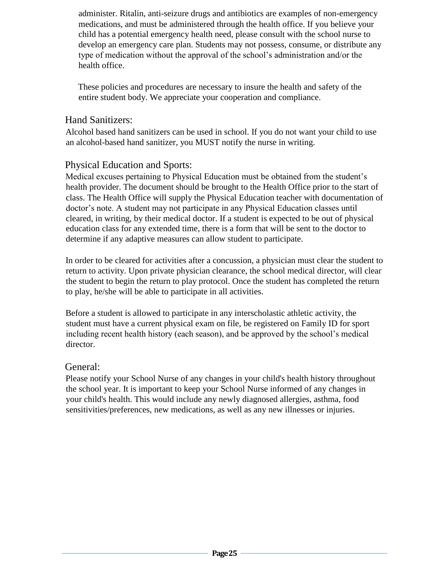administer. Ritalin, anti-seizure drugs and antibiotics are examples of non-emergency medications, and must be administered through the health office. If you believe your child has a potential emergency health need, please consult with the school nurse to develop an emergency care plan. Students may not possess, consume, or distribute any type of medication without the approval of the school's administration and/or the health office.

These policies and procedures are necessary to insure the health and safety of the entire student body. We appreciate your cooperation and compliance.

#### Hand Sanitizers:

Alcohol based hand sanitizers can be used in school. If you do not want your child to use an alcohol-based hand sanitizer, you MUST notify the nurse in writing.

# Physical Education and Sports:

Medical excuses pertaining to Physical Education must be obtained from the student's health provider. The document should be brought to the Health Office prior to the start of class. The Health Office will supply the Physical Education teacher with documentation of doctor's note. A student may not participate in any Physical Education classes until cleared, in writing, by their medical doctor. If a student is expected to be out of physical education class for any extended time, there is a form that will be sent to the doctor to determine if any adaptive measures can allow student to participate.

In order to be cleared for activities after a concussion, a physician must clear the student to return to activity. Upon private physician clearance, the school medical director, will clear the student to begin the return to play protocol. Once the student has completed the return to play, he/she will be able to participate in all activities.

Before a student is allowed to participate in any interscholastic athletic activity, the student must have a current physical exam on file, be registered on Family ID for sport including recent health history (each season), and be approved by the school's medical director.

# General:

Please notify your School Nurse of any changes in your child's health history throughout the school year. It is important to keep your School Nurse informed of any changes in your child's health. This would include any newly diagnosed allergies, asthma, food sensitivities/preferences, new medications, as well as any new illnesses or injuries.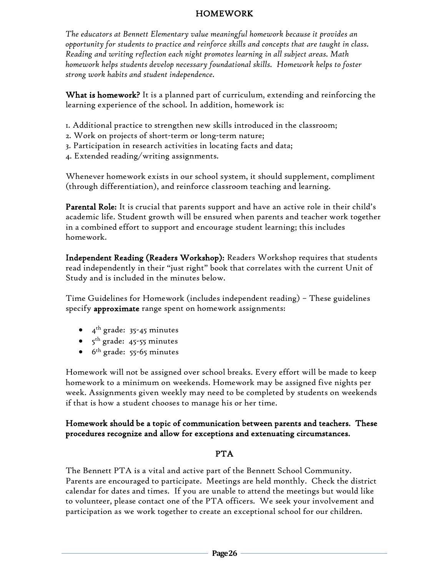#### HOMEWORK

*The educators at Bennett Elementary value meaningful homework because it provides an opportunity for students to practice and reinforce skills and concepts that are taught in class. Reading and writing reflection each night promotes learning in all subject areas. Math homework helps students develop necessary foundational skills. Homework helps to foster strong work habits and student independence.*

What is homework? It is a planned part of curriculum, extending and reinforcing the learning experience of the school. In addition, homework is:

- 1. Additional practice to strengthen new skills introduced in the classroom;
- 2. Work on projects of short-term or long-term nature;
- 3. Participation in research activities in locating facts and data;
- 4. Extended reading/writing assignments.

Whenever homework exists in our school system, it should supplement, compliment (through differentiation), and reinforce classroom teaching and learning.

Parental Role: It is crucial that parents support and have an active role in their child's academic life. Student growth will be ensured when parents and teacher work together in a combined effort to support and encourage student learning; this includes homework.

Independent Reading (Readers Workshop): Readers Workshop requires that students read independently in their "just right" book that correlates with the current Unit of Study and is included in the minutes below.

Time Guidelines for Homework (includes independent reading) – These guidelines specify approximate range spent on homework assignments:

- $\bullet$  4<sup>th</sup> grade: 35-45 minutes
- $\bullet\quad$  5<sup>th</sup> grade: 45-55 minutes
- $\bullet$  6<sup>th</sup> grade: 55-65 minutes

Homework will not be assigned over school breaks. Every effort will be made to keep homework to a minimum on weekends. Homework may be assigned five nights per week. Assignments given weekly may need to be completed by students on weekends if that is how a student chooses to manage his or her time.

#### Homework should be a topic of communication between parents and teachers. These procedures recognize and allow for exceptions and extenuating circumstances.

#### PTA

The Bennett PTA is a vital and active part of the Bennett School Community. Parents are encouraged to participate. Meetings are held monthly. Check the district calendar for dates and times. If you are unable to attend the meetings but would like to volunteer, please contact one of the PTA officers. We seek your involvement and participation as we work together to create an exceptional school for our children.